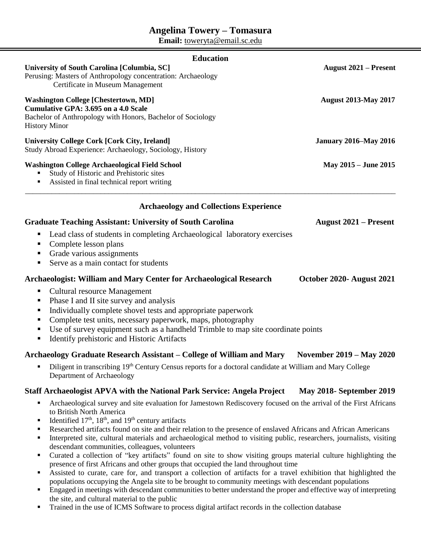# **Angelina Towery – Tomasura**

**Email:** toweryta@email.sc.edu

| <b>Education</b>                                                                                                                                                                                                                                                                                                                                                               |                                 |
|--------------------------------------------------------------------------------------------------------------------------------------------------------------------------------------------------------------------------------------------------------------------------------------------------------------------------------------------------------------------------------|---------------------------------|
| University of South Carolina [Columbia, SC]<br>Perusing: Masters of Anthropology concentration: Archaeology<br>Certificate in Museum Management                                                                                                                                                                                                                                | <b>August 2021 – Present</b>    |
| <b>Washington College [Chestertown, MD]</b><br><b>Cumulative GPA: 3.695 on a 4.0 Scale</b><br>Bachelor of Anthropology with Honors, Bachelor of Sociology<br><b>History Minor</b>                                                                                                                                                                                              | <b>August 2013-May 2017</b>     |
| <b>University College Cork [Cork City, Ireland]</b><br>Study Abroad Experience: Archaeology, Sociology, History                                                                                                                                                                                                                                                                | <b>January 2016–May 2016</b>    |
| <b>Washington College Archaeological Field School</b><br>Study of Historic and Prehistoric sites<br>Assisted in final technical report writing                                                                                                                                                                                                                                 | May 2015 - June 2015            |
| <b>Archaeology and Collections Experience</b>                                                                                                                                                                                                                                                                                                                                  |                                 |
| <b>Graduate Teaching Assistant: University of South Carolina</b>                                                                                                                                                                                                                                                                                                               | <b>August 2021 – Present</b>    |
| Lead class of students in completing Archaeological laboratory exercises<br>п<br>Complete lesson plans<br>Grade various assignments<br>п<br>Serve as a main contact for students<br>٠                                                                                                                                                                                          |                                 |
| Archaeologist: William and Mary Center for Archaeological Research                                                                                                                                                                                                                                                                                                             | October 2020- August 2021       |
| <b>Cultural resource Management</b><br>ш<br>Phase I and II site survey and analysis<br>п<br>Individually complete shovel tests and appropriate paperwork<br>٠<br>Complete test units, necessary paperwork, maps, photography<br>п<br>Use of survey equipment such as a handheld Trimble to map site coordinate points<br>п<br>Identify prehistoric and Historic Artifacts<br>٠ |                                 |
| Archaeology Graduate Research Assistant – College of William and Mary                                                                                                                                                                                                                                                                                                          | <b>November 2019 – May 2020</b> |
| Diligent in transcribing 19th Century Census reports for a doctoral candidate at William and Mary College                                                                                                                                                                                                                                                                      |                                 |

Department of Archaeology

# **Staff Archaeologist APVA with the National Park Service: Angela Project May 2018- September 2019**

- Archaeological survey and site evaluation for Jamestown Rediscovery focused on the arrival of the First Africans to British North America
- Identified  $17<sup>th</sup>$ ,  $18<sup>th</sup>$ , and  $19<sup>th</sup>$  century artifacts
- Researched artifacts found on site and their relation to the presence of enslaved Africans and African Americans
- Interpreted site, cultural materials and archaeological method to visiting public, researchers, journalists, visiting descendant communities, colleagues, volunteers
- Curated a collection of "key artifacts" found on site to show visiting groups material culture highlighting the presence of first Africans and other groups that occupied the land throughout time
- Assisted to curate, care for, and transport a collection of artifacts for a travel exhibition that highlighted the populations occupying the Angela site to be brought to community meetings with descendant populations
- Engaged in meetings with descendant communities to better understand the proper and effective way of interpreting the site, and cultural material to the public
- Trained in the use of ICMS Software to process digital artifact records in the collection database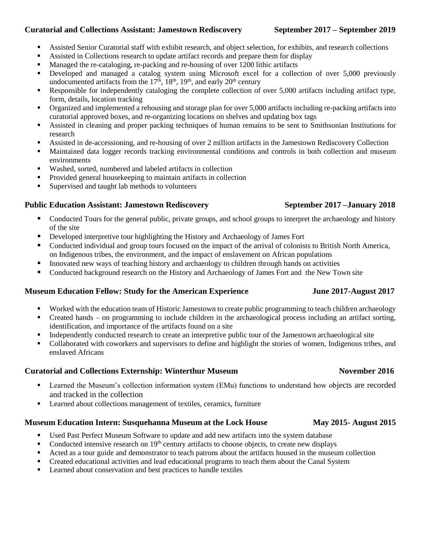# **Curatorial and Collections Assistant: Jamestown Rediscovery September 2017 – September 2019**

- Assisted Senior Curatorial staff with exhibit research, and object selection, for exhibits, and research collections
- Assisted in Collections research to update artifact records and prepare them for display
- Managed the re-cataloging, re-packing and re-housing of over 1200 lithic artifacts
- Developed and managed a catalog system using Microsoft excel for a collection of over 5,000 previously undocumented artifacts from the  $17<sup>th</sup>$ ,  $18<sup>th</sup>$ ,  $19<sup>th</sup>$ , and early  $20<sup>th</sup>$  century
- Responsible for independently cataloging the complete collection of over 5,000 artifacts including artifact type, form, details, location tracking
- Organized and implemented a rehousing and storage plan for over 5,000 artifacts including re-packing artifacts into curatorial approved boxes, and re-organizing locations on shelves and updating box tags
- Assisted in cleaning and proper packing techniques of human remains to be sent to Smithsonian Institutions for research
- Assisted in de-accessioning, and re-housing of over 2 million artifacts in the Jamestown Rediscovery Collection
- Maintained data logger records tracking environmental conditions and controls in both collection and museum environments
- Washed, sorted, numbered and labeled artifacts in collection
- Provided general housekeeping to maintain artifacts in collection
- Supervised and taught lab methods to volunteers

# **Public Education Assistant: Jamestown Rediscovery September 2017 –January 2018**

- Conducted Tours for the general public, private groups, and school groups to interpret the archaeology and history of the site
- Developed interpretive tour highlighting the History and Archaeology of James Fort
- Conducted individual and group tours focused on the impact of the arrival of colonists to British North America, on Indigenous tribes, the environment, and the impact of enslavement on African populations
- Innovated new ways of teaching history and archaeology to children through hands on activities
- Conducted background research on the History and Archaeology of James Fort and the New Town site

# **Museum Education Fellow: Study for the American Experience June 2017-August 2017**

- Worked with the education team of Historic Jamestown to create public programming to teach children archaeology
- Created hands on programming to include children in the archaeological process including an artifact sorting, identification, and importance of the artifacts found on a site
- Independently conducted research to create an interpretive public tour of the Jamestown archaeological site
- Collaborated with coworkers and supervisors to define and highlight the stories of women, Indigenous tribes, and enslaved Africans

# **Curatorial and Collections Externship: Winterthur Museum November 2016**

- **Example 1** Learned the Museum's collection information system (EMu) functions to understand how objects are recorded and tracked in the collection
- **EXECUTE:** Learned about collections management of textiles, ceramics, furniture

# **Museum Education Intern: Susquehanna Museum at the Lock House May 2015- August 2015**

- Used Past Perfect Museum Software to update and add new artifacts into the system database
- Conducted intensive research on  $19<sup>th</sup>$  century artifacts to choose objects, to create new displays
- Acted as a tour guide and demonstrator to teach patrons about the artifacts housed in the museum collection
- Created educational activities and lead educational programs to teach them about the Canal System
- Learned about conservation and best practices to handle textiles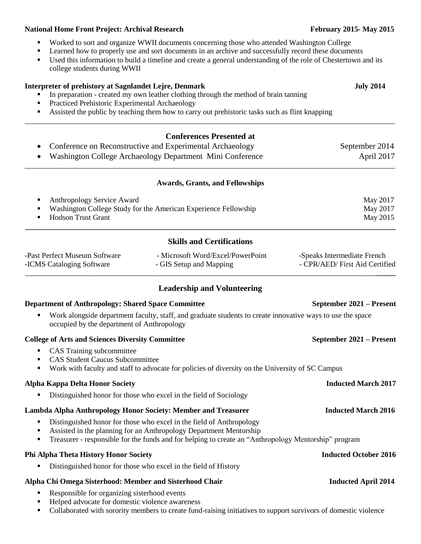### **National Home Front Project: Archival Research February 2015-May 2015-May 2015**

- Worked to sort and organize WWII documents concerning those who attended Washington College
- Learned how to properly use and sort documents in an archive and successfully record these documents
- Used this information to build a timeline and create a general understanding of the role of Chestertown and its college students during WWII

\_\_\_\_\_\_\_\_\_\_\_\_\_\_\_\_\_\_\_\_\_\_\_\_\_\_\_\_\_\_\_\_\_\_\_\_\_\_\_\_\_\_\_\_\_\_\_\_\_\_\_\_\_\_\_\_\_\_\_\_\_\_\_\_\_\_\_\_\_\_\_\_\_\_\_\_\_\_\_\_\_\_\_\_\_\_\_\_\_\_\_\_\_\_\_\_\_\_

### **Interpreter of prehistory at Sagnlandet Lejre, Denmark**   $July 2014$

- In preparation created my own leather clothing through the method of brain tanning
- Practiced Prehistoric Experimental Archaeology
- Assisted the public by teaching them how to carry out prehistoric tasks such as flint knapping

# **Conferences Presented at** Conference on Reconstructive and Experimental Archaeology September 2014 • Washington College Archaeology Department Mini Conference April 2017 \_\_\_\_\_\_\_\_\_\_\_\_\_\_\_\_\_\_\_\_\_\_\_\_\_\_\_\_\_\_\_\_\_\_\_\_\_\_\_\_\_\_\_\_\_\_\_\_\_\_\_\_\_\_\_\_\_\_\_\_\_\_\_\_\_\_\_\_\_\_\_\_\_\_\_\_\_\_\_\_\_\_\_\_\_\_\_\_\_\_\_\_\_\_\_\_\_\_ **Awards, Grants, and Fellowships** Anthropology Service Award May 2017 Washington College Study for the American Experience Fellowship May 2017 Hodson Trust Grant May 2015 **\_\_\_\_\_\_\_\_\_\_\_\_\_\_\_\_\_\_\_\_\_\_\_\_\_\_\_\_\_\_\_\_\_\_\_\_\_\_\_\_\_\_\_\_\_\_\_\_\_\_\_\_\_\_\_\_\_\_\_\_\_\_\_\_\_\_\_\_\_\_\_\_\_\_\_\_\_\_\_\_\_\_\_\_\_\_\_\_\_\_\_\_\_\_\_\_\_\_ Skills and Certifications**

| -Past Perfect Museum Software | - Microsoft Word/Excel/PowerPoint | -Speaks Intermediate French    |
|-------------------------------|-----------------------------------|--------------------------------|
| -ICMS Cataloging Software     | - GIS Setup and Mapping           | - CPR/AED/ First Aid Certified |
|                               |                                   |                                |

## **Leadership and Volunteering**

### **Department of Anthropology: Shared Space Committee September 2021 – Present**

 Work alongside department faculty, staff, and graduate students to create innovative ways to use the space occupied by the department of Anthropology

### **College of Arts and Sciences Diversity Committee September 2021 – Present**

- CAS Training subcommittee
- CAS Student Caucus Subcommittee
- Work with faculty and staff to advocate for policies of diversity on the University of SC Campus

## **Alpha Kappa Delta Honor Society Inducted March 2017**

Distinguished honor for those who excel in the field of Sociology

## **Lambda Alpha Anthropology Honor Society: Member and Treasurer Inducted March 2016**

- Distinguished honor for those who excel in the field of Anthropology
- Assisted in the planning for an Anthropology Department Mentorship
- Treasurer responsible for the funds and for helping to create an "Anthropology Mentorship" program

## **Phi Alpha Theta History Honor Society Inducted October 2016**

Distinguished honor for those who excel in the field of History

## **Alpha Chi Omega Sisterhood: Member and Sisterhood Chair Inducted April 2014**

- Responsible for organizing sisterhood events
- Helped advocate for domestic violence awareness
- Collaborated with sorority members to create fund-raising initiatives to support survivors of domestic violence